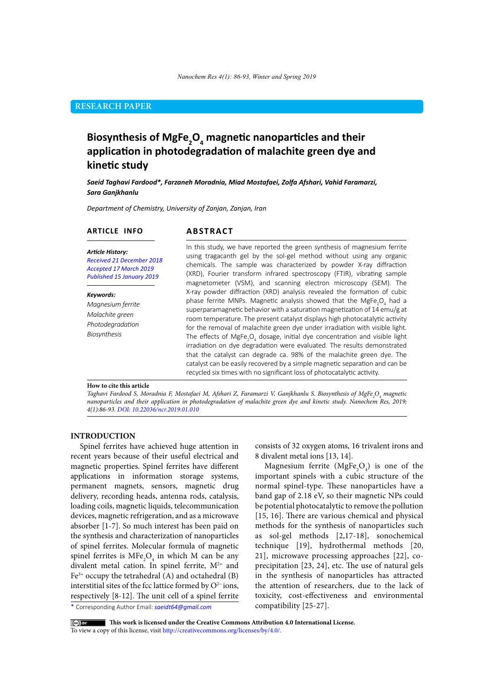## **RESEARCH PAPER**

# **Biosynthesis of MgFe2 O4 magnetic nanoparticles and their application in photodegradation of malachite green dye and kinetic study**

*Saeid Taghavi Fardood\*, Farzaneh Moradnia, Miad Mostafaei, Zolfa Afshari, Vahid Faramarzi, Sara Ganjkhanlu*

*Department of Chemistry, University of Zanjan, Zanjan, Iran*

#### **ARTICLE INFO**

## **ABSTRACT**

*Article History: Received 21 December 2018 Accepted 17 March 2019 Published 15 January 2019*

#### *Keywords:*

*Magnesium ferrite Malachite green Photodegradation Biosynthesis*

In this study, we have reported the green synthesis of magnesium ferrite using tragacanth gel by the sol-gel method without using any organic chemicals. The sample was characterized by powder X-ray diffraction (XRD), Fourier transform infrared spectroscopy (FTIR), vibrating sample magnetometer (VSM), and scanning electron microscopy (SEM). The X-ray powder diffraction (XRD) analysis revealed the formation of cubic phase ferrite MNPs. Magnetic analysis showed that the MgFe<sub>2</sub>O<sub>4</sub> had a superparamagnetic behavior with a saturation magnetization of 14 emu/g at room temperature. The present catalyst displays high photocatalytic activity for the removal of malachite green dye under irradiation with visible light. The effects of MgFe<sub>2</sub>O<sub>4</sub> dosage, initial dye concentration and visible light irradiation on dye degradation were evaluated. The results demonstrated that the catalyst can degrade ca. 98% of the malachite green dye. The catalyst can be easily recovered by a simple magnetic separation and can be recycled six times with no significant loss of photocatalytic activity.

#### **How to cite this article**

*Taghavi Fardood S, Moradnia F, Mostafaei M, Afshari Z, Faramarzi V, Ganjkhanlu S. Biosynthesis of MgFe2 O4 magnetic nanoparticles and their application in photodegradation of malachite green dye and kinetic study. Nanochem Res, 2019; 4(1):86-93. DOI: 10.22036/ncr.2019.01.010*

#### **INTRODUCTION**

Spinel ferrites have achieved huge attention in recent years because of their useful electrical and magnetic properties. Spinel ferrites have different applications in information storage systems, permanent magnets, sensors, magnetic drug delivery, recording heads, antenna rods, catalysis, loading coils, magnetic liquids, telecommunication devices, magnetic refrigeration, and as a microwave absorber [1-7]. So much interest has been paid on the synthesis and characterization of nanoparticles of spinel ferrites. Molecular formula of magnetic spinel ferrites is  $MFe<sub>2</sub>O<sub>4</sub>$  in which M can be any divalent metal cation. In spinel ferrite,  $M^{2+}$  and  $Fe<sup>3+</sup>$  occupy the tetrahedral (A) and octahedral (B) interstitial sites of the fcc lattice formed by O2− ions, respectively [8-12]. The unit cell of a spinel ferrite

consists of 32 oxygen atoms, 16 trivalent irons and 8 divalent metal ions [13, 14].

Magnesium ferrite  $(MgFe<sub>2</sub>O<sub>4</sub>)$  is one of the important spinels with a cubic structure of the normal spinel-type. These nanoparticles have a band gap of 2.18 eV, so their magnetic NPs could be potential photocatalytic to remove the pollution [15, 16]. There are various chemical and physical methods for the synthesis of nanoparticles such as sol-gel methods [2,17-18], sonochemical technique [19], hydrothermal methods [20, 21], microwave processing approaches [22], coprecipitation [23, 24], etc. The use of natural gels in the synthesis of nanoparticles has attracted the attention of researchers, due to the lack of toxicity, cost-effectiveness and environmental compatibility [25-27].

\* Corresponding Author Email: *saeidt64@gmail.com* 

 **This work is licensed under the Creative Commons Attribution 4.0 International License.**

To view a copy of this license, visit [http://creativecommons.org/licenses/by/4.0/.](http://creativecommons.org/licenses/by/4.0/)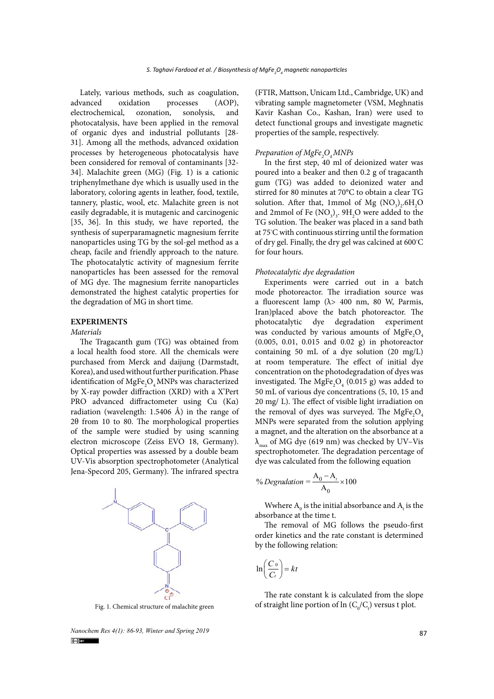Lately, various methods, such as coagulation, advanced oxidation processes (AOP), electrochemical, ozonation, sonolysis, and photocatalysis, have been applied in the removal of organic dyes and industrial pollutants [28- 31]. Among all the methods, advanced oxidation processes by heterogeneous photocatalysis have been considered for removal of contaminants [32- 34]. Malachite green (MG) (Fig. 1) is a cationic triphenylmethane dye which is usually used in the laboratory, coloring agents in leather, food, textile, tannery, plastic, wool, etc. Malachite green is not easily degradable, it is mutagenic and carcinogenic [35, 36]. In this study, we have reported, the synthesis of superparamagnetic magnesium ferrite nanoparticles using TG by the sol-gel method as a cheap, facile and friendly approach to the nature. The photocatalytic activity of magnesium ferrite nanoparticles has been assessed for the removal of MG dye. The magnesium ferrite nanoparticles demonstrated the highest catalytic properties for the degradation of MG in short time.

## **EXPERIMENTS**

#### *Materials*

The Tragacanth gum (TG) was obtained from a local health food store. All the chemicals were purchased from Merck and daijung (Darmstadt, Korea), and used without further purification. Phase identification of  $\mathrm{MgFe}_{2}\mathrm{O}_4$ MNPs was characterized by X-ray powder diffraction (XRD) with a X'Pert PRO advanced diffractometer using Cu (Kα) radiation (wavelength: 1.5406 Å) in the range of 2θ from 10 to 80. The morphological properties of the sample were studied by using scanning electron microscope (Zeiss EVO 18, Germany). Optical properties was assessed by a double beam UV-Vis absorption spectrophotometer (Analytical Jena-Specord 205, Germany). The infrared spectra



*Nanochem Res 4(1): 86-93, Winter and Spring 2019*<br> **Explorer** 

(FTIR, Mattson, Unicam Ltd., Cambridge, UK) and vibrating sample magnetometer (VSM, Meghnatis Kavir Kashan Co., Kashan, Iran) were used to detect functional groups and investigate magnetic properties of the sample, respectively.

# *Preparation of MgFe2 O4 MNPs*

In the first step, 40 ml of deionized water was poured into a beaker and then 0.2 g of tragacanth gum (TG) was added to deionized water and stirred for 80 minutes at 70°C to obtain a clear TG solution. After that, 1mmol of Mg  $(\text{NO}_3)_2\text{.}6\text{H}_2\text{O}$ and 2mmol of Fe  $(NO<sub>3</sub>)<sub>3</sub>$ . 9H<sub>2</sub>O were added to the TG solution. The beaker was placed in a sand bath at 75◦ C with continuous stirring until the formation of dry gel. Finally, the dry gel was calcined at 600◦ C for four hours.

#### *Photocatalytic dye degradation*

Experiments were carried out in a batch mode photoreactor. The irradiation source was a fluorescent lamp ( $\lambda$ > 400 nm, 80 W, Parmis, Iran)placed above the batch photoreactor. The photocatalytic dye degradation experiment was conducted by various amounts of  $MgFe<sub>2</sub>O<sub>4</sub>$ (0.005, 0.01, 0.015 and 0.02 g) in photoreactor containing 50 mL of a dye solution (20 mg/L) at room temperature. The effect of initial dye concentration on the photodegradation of dyes was investigated. The  $MgFe<sub>2</sub>O<sub>4</sub>$  (0.015 g) was added to 50 mL of various dye concentrations (5, 10, 15 and 20 mg/ L). The effect of visible light irradiation on the removal of dyes was surveyed. The  $MgFe<sub>2</sub>O<sub>4</sub>$ MNPs were separated from the solution applying a magnet, and the alteration on the absorbance at a  $\lambda_{\text{max}}$  of MG dye (619 nm) was checked by UV–Vis spectrophotometer. The degradation percentage of dye was calculated from the following equation

$$
\% Degradation = \frac{A_0 - A_t}{A_0} \times 100
$$

Wwhere  $\mathbf{A}_0$  is the initial absorbance and  $\mathbf{A}_t$  is the absorbance at the time t.

The removal of MG follows the pseudo-first order kinetics and the rate constant is determined by the following relation:

$$
\ln\left(\frac{C_0}{C_t}\right) = kt
$$

The rate constant k is calculated from the slope Fig. 1. Chemical structure of malachite green  $\qquad \qquad \text{of straight line portion of } \ln \left( \text{C}_0/\text{C}_\text{t} \right)$  versus  $\text{t plot.}$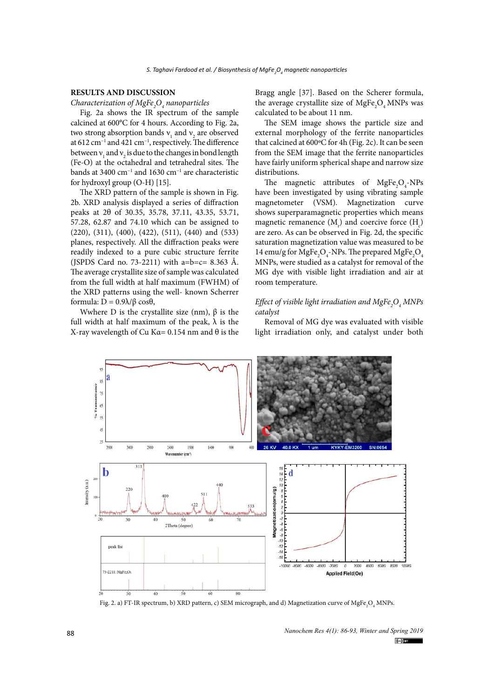#### **RESULTS AND DISCUSSION**

*Characterization of MgFe2 O4 nanoparticles*

Fig. 2a shows the IR spectrum of the sample calcined at 600°C for 4 hours. According to Fig. 2a, two strong absorption bands  $v_1$  and  $v_2$  are observed at 612 cm−1 and 421 cm−1, respectively. The difference between  $v_1$  and  $v_2$  is due to the changes in bond length (Fe-O) at the octahedral and tetrahedral sites. The bands at 3400 cm−1 and 1630 cm−1 are characteristic for hydroxyl group (O-H) [15].

The XRD pattern of the sample is shown in Fig. 2b. XRD analysis displayed a series of diffraction peaks at 2θ of 30.35, 35.78, 37.11, 43.35, 53.71, 57.28, 62.87 and 74.10 which can be assigned to (220), (311), (400), (422), (511), (440) and (533) planes, respectively. All the diffraction peaks were readily indexed to a pure cubic structure ferrite (JSPDS Card no. 73-2211) with  $a=b=c=8.363$  Å. The average crystallite size of sample was calculated from the full width at half maximum (FWHM) of the XRD patterns using the well- known Scherrer formula: D = 0.9λ/β cosθ,

Wwhere D is the crystallite size (nm),  $\beta$  is the full width at half maximum of the peak,  $\lambda$  is the X-ray wavelength of Cu Kα=  $0.154$  nm and  $θ$  is the Bragg angle [37]. Based on the Scherer formula, the average crystallite size of  $MgFe<sub>2</sub>O<sub>4</sub> MNPs$  was calculated to be about 11 nm.

The SEM image shows the particle size and external morphology of the ferrite nanoparticles that calcined at 600ºC for 4h (Fig. 2c). It can be seen from the SEM image that the ferrite nanoparticles have fairly uniform spherical shape and narrow size distributions.

The magnetic attributes of  $MgFe<sub>2</sub>O<sub>4</sub>$ -NPs have been investigated by using vibrating sample magnetometer (VSM). Magnetization curve shows superparamagnetic properties which means magnetic remanence  $(M_r)$  and coercive force  $(H_c)$ are zero. As can be observed in Fig. 2d, the specific saturation magnetization value was measured to be 14 emu/g for MgFe<sub>2</sub>O<sub>4</sub>-NPs. The prepared MgFe<sub>2</sub>O<sub>4</sub> MNPs, were studied as a catalyst for removal of the MG dye with visible light irradiation and air at room temperature.

#### *Effect of visible light irradiation and MgFe2 O4 MNPs catalyst*

Removal of MG dye was evaluated with visible light irradiation only, and catalyst under both



Fig. 2. a) FT-IR spectrum, b) XRD pattern, c) SEM micrograph, and d) Magnetization curve of MgFe<sub>2</sub>O<sub>4</sub> MNPs.

*Nanochem Res 4(1): 86-93, Winter and Spring 2019*  $(cc)$  BY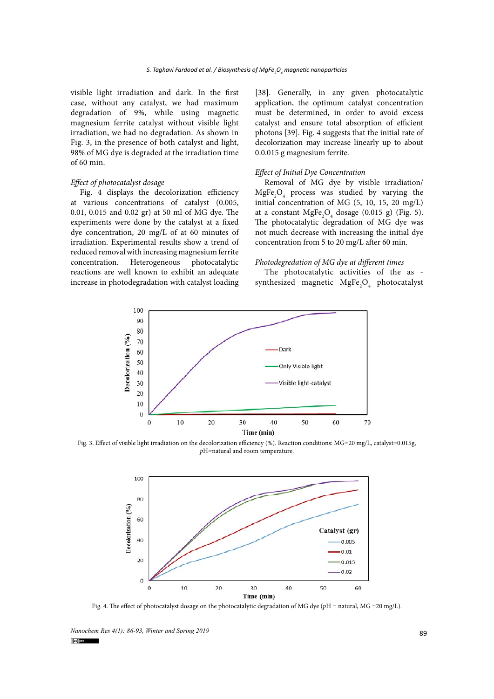visible light irradiation and dark. In the first case, without any catalyst, we had maximum degradation of 9%, while using magnetic magnesium ferrite catalyst without visible light irradiation, we had no degradation. As shown in Fig. 3, in the presence of both catalyst and light, 98% of MG dye is degraded at the irradiation time of 60 min.

#### *Effect of photocatalyst dosage*

Fig. 4 displays the decolorization efficiency at various concentrations of catalyst (0.005, 0.01, 0.015 and 0.02 gr) at 50 ml of MG dye. The experiments were done by the catalyst at a fixed dye concentration, 20 mg/L of at 60 minutes of irradiation. Experimental results show a trend of reduced removal with increasing magnesium ferrite concentration. Heterogeneous photocatalytic reactions are well known to exhibit an adequate increase in photodegradation with catalyst loading [38]. Generally, in any given photocatalytic application, the optimum catalyst concentration must be determined, in order to avoid excess catalyst and ensure total absorption of efficient photons [39]. Fig. 4 suggests that the initial rate of decolorization may increase linearly up to about 0.0.015 g magnesium ferrite.

#### *Effect of Initial Dye Concentration*

Removal of MG dye by visible irradiation/  $MgFe<sub>2</sub>O<sub>4</sub>$  process was studied by varying the initial concentration of MG (5, 10, 15, 20 mg/L) at a constant  $MgFe<sub>2</sub>O<sub>4</sub>$  dosage (0.015 g) (Fig. 5). The photocatalytic degradation of MG dye was not much decrease with increasing the initial dye concentration from 5 to 20 mg/L after 60 min.

#### *Photodegredation of MG dye at different times*

The photocatalytic activities of the as synthesized magnetic  $MgFe<sub>2</sub>O<sub>4</sub>$  photocatalyst



 $p$ H=natural and room temperature. Fig. 3. Effect of visible light irradiation on the decolorization efficiency (%). Reaction conditions: MG=20 mg/L, catalyst=0.015g,



Fig. 4. The effect of photocatalyst dosage on the photocatalytic degradation of MG dye ( $p$ H = natural, MG =20 mg/L).

*Nanochem Res 4(1): 86-93, Winter and Spring 2019*<br> **Colum**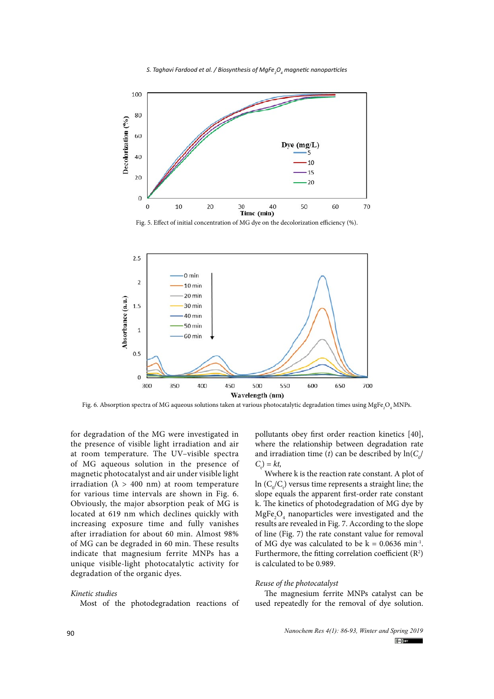



Fig. 5. Effect of initial concentration of MG dye on the decolorization efficiency (%).



Fig. 6. Absorption spectra of MG aqueous solutions taken at various photocatalytic degradation times using  $\mathrm{MgFe_{2}O_{4}\,MNPs.}$ 

for degradation of the MG were investigated in the presence of visible light irradiation and air at room temperature. The UV–visible spectra of MG aqueous solution in the presence of magnetic photocatalyst and air under visible light irradiation ( $\lambda$  > 400 nm) at room temperature for various time intervals are shown in Fig. 6. Obviously, the major absorption peak of MG is located at 619 nm which declines quickly with increasing exposure time and fully vanishes after irradiation for about 60 min. Almost 98% of MG can be degraded in 60 min. These results indicate that magnesium ferrite MNPs has a unique visible‐light photocatalytic activity for degradation of the organic dyes.

#### *Kinetic studies*

Most of the photodegradation reactions of

pollutants obey first order reaction kinetics [40], where the relationship between degradation rate and irradiation time (*t*) can be described by  $\ln(C_o/$  $C_t$ ) =  $kt$ ,

Wwhere k is the reaction rate constant. A plot of ln  $(C_0/C_t)$  versus time represents a straight line; the slope equals the apparent first-order rate constant k. The kinetics of photodegradation of MG dye by  $MgFe<sub>2</sub>O<sub>4</sub>$  nanoparticles were investigated and the results are revealed in Fig. 7. According to the slope of line (Fig. 7) the rate constant value for removal of MG dye was calculated to be  $k = 0.0636$  min<sup>-1</sup>. Furthermore, the fitting correlation coefficient  $(R^2)$ is calculated to be 0.989.

#### *Reuse of the photocatalyst*

The magnesium ferrite MNPs catalyst can be used repeatedly for the removal of dye solution.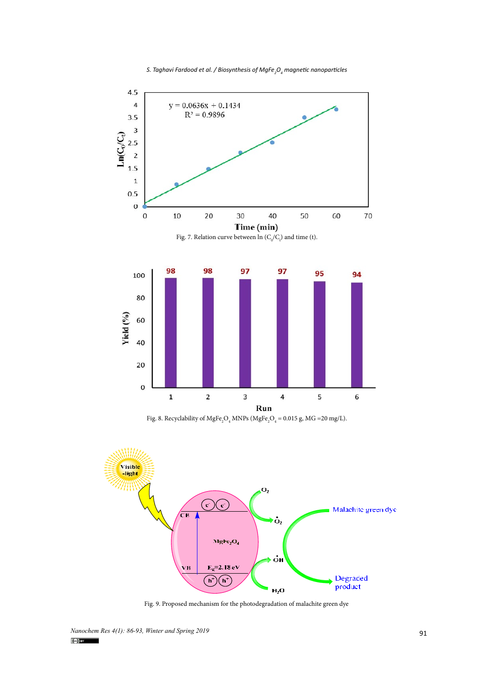



Fig. 8. Recyclability of MgFe<sub>2</sub>O<sub>4</sub> MNPs (MgFe<sub>2</sub>O<sub>4</sub> = 0.015 g, MG =20 mg/L).



Fig. 9. Proposed mechanism for the photodegradation of malachite green dye

*Nanochem Res 4(1): 86-93, Winter and Spring 2019*<br> **(c)**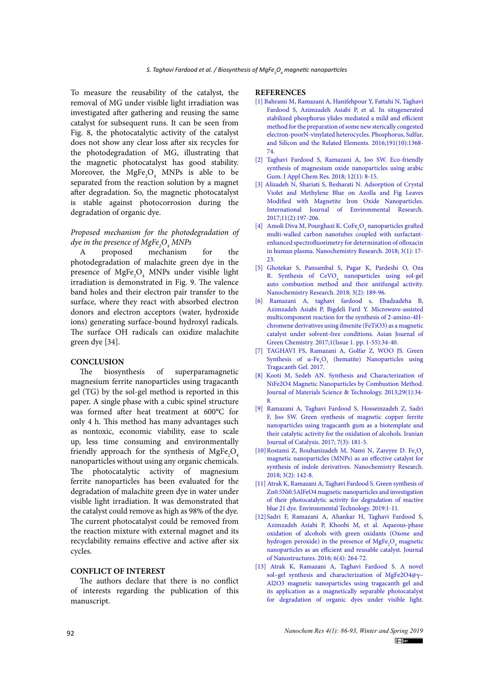To measure the reusability of the catalyst, the removal of MG under visible light irradiation was investigated after gathering and reusing the same catalyst for subsequent runs. It can be seen from Fig. 8, the photocatalytic activity of the catalyst does not show any clear loss after six recycles for the photodegradation of MG, illustrating that the magnetic photocatalyst has good stability. Moreover, the  $MgFe<sub>2</sub>O<sub>4</sub>$  MNPs is able to be separated from the reaction solution by a magnet after degradation. So, the magnetic photocatalyst is stable against photocorrosion during the degradation of organic dye.

# *Proposed mechanism for the photodegradation of dye in the presence of MgFe2 O4 MNPs*

A proposed mechanism for the photodegradation of malachite green dye in the presence of  $MgFe<sub>2</sub>O<sub>4</sub>$  MNPs under visible light irradiation is demonstrated in Fig. 9. The valence band holes and their electron pair transfer to the surface, where they react with absorbed electron donors and electron acceptors (water, hydroxide ions) generating surface-bound hydroxyl radicals. The surface OH radicals can oxidize malachite green dye [34].

#### **CONCLUSION**

The biosynthesis of superparamagnetic magnesium ferrite nanoparticles using tragacanth gel (TG) by the sol-gel method is reported in this paper. A single phase with a cubic spinel structure was formed after heat treatment at 600°C for only 4 h. This method has many advantages such as nontoxic, economic viability, ease to scale up, less time consuming and environmentally friendly approach for the synthesis of  $\text{MgFe}_{2}\text{O}_4$ nanoparticles without using any organic chemicals. The photocatalytic activity of magnesium ferrite nanoparticles has been evaluated for the degradation of malachite green dye in water under visible light irradiation. It was demonstrated that the catalyst could remove as high as 98% of the dye. The current photocatalyst could be removed from the reaction mixture with external magnet and its recyclability remains effective and active after six cycles.

## **CONFLICT OF INTEREST**

The authors declare that there is no conflict of interests regarding the publication of this manuscript.

#### **REFERENCES**

- [1] [Bahrami M, Ramazani A, Hanifehpour Y, Fattahi N, Taghavi](http://dx.doi.org/10.1080/10426507.2016.1206104) [Fardood S, Azimzadeh Asiabi P, et al. In situgenerated](http://dx.doi.org/10.1080/10426507.2016.1206104) [stabilized phosphorus ylides mediated a mild and efficient](http://dx.doi.org/10.1080/10426507.2016.1206104) [method for the preparation of some new sterically congested](http://dx.doi.org/10.1080/10426507.2016.1206104) [electron-poorN-vinylated heterocycles. Phosphorus, Sulfur,](http://dx.doi.org/10.1080/10426507.2016.1206104) [and Silicon and the Related Elements. 2016;191\(10\):1368-](http://dx.doi.org/10.1080/10426507.2016.1206104) [74.](http://dx.doi.org/10.1080/10426507.2016.1206104)
- [2] Taghavi Fardood S, Ramazani A, Joo SW. Eco-friendly synthesis of magnesium oxide nanoparticles using arabic Gum. J Appl Chem Res. 2018; 12(1): 8-15.
- [3] [Alizadeh N, Shariati S, Besharati N. Adsorption of Crystal](http://dx.doi.org/10.1007/s41742-017-0019-1) [Violet and Methylene Blue on Azolla and Fig Leaves](http://dx.doi.org/10.1007/s41742-017-0019-1) [Modified with Magnetite Iron Oxide Nanoparticles.](http://dx.doi.org/10.1007/s41742-017-0019-1) [International Journal of Environmental Research.](http://dx.doi.org/10.1007/s41742-017-0019-1) [2017;11\(2\):197-206.](http://dx.doi.org/10.1007/s41742-017-0019-1)
- [4] Amoli Diva M, Pourghazi K.  $\text{CoFe}_2\text{O}_4$  nanoparticles grafted multi-walled carbon nanotubes coupled with surfactantenhanced spectrofluorimetry for determination of ofloxacin in human plasma. Nanochemistry Research. 2018; 3(1): 17-  $23.$
- [5] Ghotekar S, Pansambal S, Pagar K, Pardeshi O, Oza R. Synthesis of CeVO<sub>4</sub> nanoparticles using sol-gel auto combustion method and their antifungal activity. Nanochemistry Research. 2018; 3(2): 189-96.
- [6] [Ramazani A, taghavi fardood s, Ebadzadeha B,](http://dx.doi.org/10.22631/ajgc.2017.93142.1006) [Azimzadeh Asiabi P, Bigdeli Fard Y. Microwave-assisted](http://dx.doi.org/10.22631/ajgc.2017.93142.1006) [multicomponent reaction for the synthesis of 2-amino-4H](http://dx.doi.org/10.22631/ajgc.2017.93142.1006)[chromene derivatives using ilmenite \(FeTiO3\) as a magnetic](http://dx.doi.org/10.22631/ajgc.2017.93142.1006) [catalyst under solvent-free conditions. Asian Journal of](http://dx.doi.org/10.22631/ajgc.2017.93142.1006) [Green Chemistry. 2017;1\(Issue 1. pp. 1-55\):34-40.](http://dx.doi.org/10.22631/ajgc.2017.93142.1006)
- [7] TAGHAVI FS, Ramazani A, Golfar Z, WOO JS. Green Synthesis of  $\alpha$ -Fe<sub>2</sub>O<sub>3</sub> (hematite) Nanoparticles using Tragacanth Gel. 2017.
- [8] [Kooti M, Sedeh AN. Synthesis and Characterization of](http://dx.doi.org/10.1016/j.jmst.2012.11.016) [NiFe2O4 Magnetic Nanoparticles by Combustion Method.](http://dx.doi.org/10.1016/j.jmst.2012.11.016) [Journal of Materials Science & Technology. 2013;29\(1\):34-](http://dx.doi.org/10.1016/j.jmst.2012.11.016) [8.](http://dx.doi.org/10.1016/j.jmst.2012.11.016)
- [9] Ramazani A, Taghavi Fardood S, Hosseinzadeh Z, Sadri F, Joo SW. Green synthesis of magnetic copper ferrite nanoparticles using tragacanth gum as a biotemplate and their catalytic activity for the oxidation of alcohols. Iranian Journal of Catalysis. 2017; 7(3): 181-5.
- [10] Rostami Z, Rouhanizadeh M, Nami N, Zareyee D.  $\text{Fe}_3\text{O}_4$ magnetic nanoparticles (MNPs) as an effective catalyst for synthesis of indole derivatives. Nanochemistry Research. 2018; 3(2): 142-8.
- [11] [Atrak K, Ramazani A, Taghavi Fardood S. Green synthesis of](http://dx.doi.org/10.1080/09593330.2019.1581841) [Zn0.5Ni0.5AlFeO4 magnetic nanoparticles and investigation](http://dx.doi.org/10.1080/09593330.2019.1581841) [of their photocatalytic activity for degradation of reactive](http://dx.doi.org/10.1080/09593330.2019.1581841) [blue 21 dye. Environmental Technology. 2019:1-11.](http://dx.doi.org/10.1080/09593330.2019.1581841)
- [12] Sadri F, Ramazani A, Ahankar H, Taghavi Fardood S, Azimzadeh Asiabi P, Khoobi M, et al. Aqueous-phase oxidation of alcohols with green oxidants (Oxone and hydrogen peroxide) in the presence of  $\text{MgFe}_{2}\text{O}_{4}$  magnetic nanoparticles as an efficient and reusable catalyst. Journal of Nanostructures. 2016; 6(4): 264-72.
- [13] [Atrak K, Ramazani A, Taghavi Fardood S. A novel](http://dx.doi.org/10.1007/s10854-018-8656-5) [sol–gel synthesis and characterization of MgFe2O4@γ–](http://dx.doi.org/10.1007/s10854-018-8656-5) [Al2O3 magnetic nanoparticles using tragacanth gel and](http://dx.doi.org/10.1007/s10854-018-8656-5) [its application as a magnetically separable photocatalyst](http://dx.doi.org/10.1007/s10854-018-8656-5) [for degradation of organic dyes under visible light.](http://dx.doi.org/10.1007/s10854-018-8656-5)